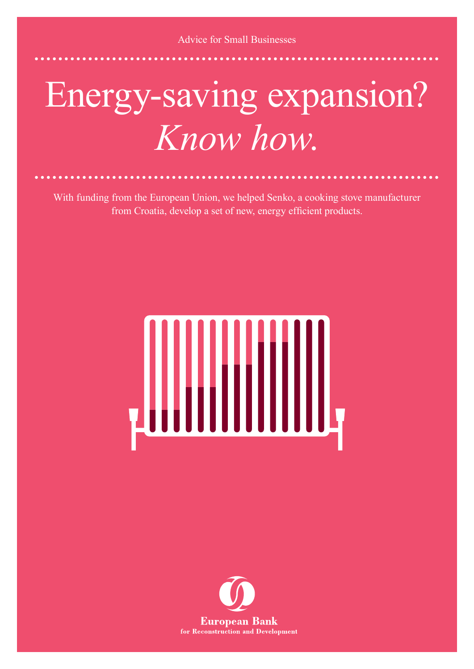## Energy-saving expansion? *Know how*.

With funding from the European Union, we helped Senko, a cooking stove manufacturer from Croatia, develop a set of new, energy efficient products.